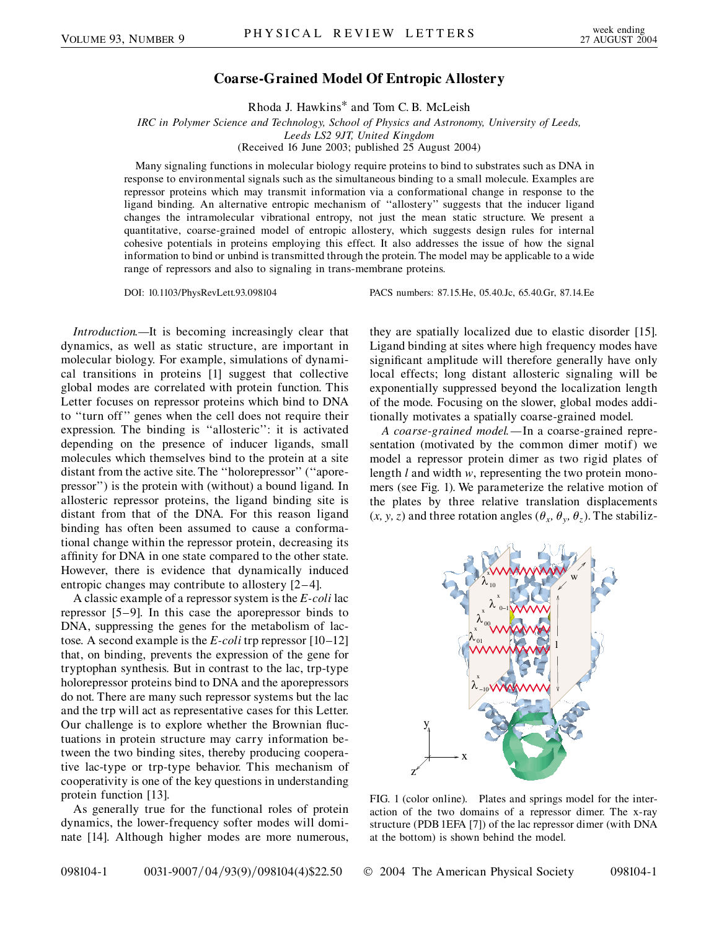## **Coarse-Grained Model Of Entropic Allostery**

Rhoda J. Hawkins\* and Tom C. B. McLeish

*IRC in Polymer Science and Technology, School of Physics and Astronomy, University of Leeds, Leeds LS2 9JT, United Kingdom* (Received 16 June 2003; published 25 August 2004)

Many signaling functions in molecular biology require proteins to bind to substrates such as DNA in response to environmental signals such as the simultaneous binding to a small molecule. Examples are repressor proteins which may transmit information via a conformational change in response to the ligand binding. An alternative entropic mechanism of ''allostery'' suggests that the inducer ligand changes the intramolecular vibrational entropy, not just the mean static structure. We present a quantitative, coarse-grained model of entropic allostery, which suggests design rules for internal cohesive potentials in proteins employing this effect. It also addresses the issue of how the signal information to bind or unbind is transmitted through the protein. The model may be applicable to a wide range of repressors and also to signaling in trans-membrane proteins.

DOI: 10.1103/PhysRevLett.93.098104 PACS numbers: 87.15.He, 05.40.Jc, 65.40.Gr, 87.14.Ee

*Introduction.—*It is becoming increasingly clear that dynamics, as well as static structure, are important in molecular biology. For example, simulations of dynamical transitions in proteins [1] suggest that collective global modes are correlated with protein function. This Letter focuses on repressor proteins which bind to DNA to ''turn off'' genes when the cell does not require their expression. The binding is ''allosteric'': it is activated depending on the presence of inducer ligands, small molecules which themselves bind to the protein at a site distant from the active site. The ''holorepressor'' (''aporepressor'') is the protein with (without) a bound ligand. In allosteric repressor proteins, the ligand binding site is distant from that of the DNA. For this reason ligand binding has often been assumed to cause a conformational change within the repressor protein, decreasing its affinity for DNA in one state compared to the other state. However, there is evidence that dynamically induced entropic changes may contribute to allostery [2–4].

A classic example of a repressor system is the *E-coli* lac repressor [5–9]. In this case the aporepressor binds to DNA, suppressing the genes for the metabolism of lactose. A second example is the *E-coli* trp repressor [10–12] that, on binding, prevents the expression of the gene for tryptophan synthesis. But in contrast to the lac, trp-type holorepressor proteins bind to DNA and the aporepressors do not. There are many such repressor systems but the lac and the trp will act as representative cases for this Letter. Our challenge is to explore whether the Brownian fluctuations in protein structure may carry information between the two binding sites, thereby producing cooperative lac-type or trp-type behavior. This mechanism of cooperativity is one of the key questions in understanding protein function [13].

As generally true for the functional roles of protein dynamics, the lower-frequency softer modes will dominate [14]. Although higher modes are more numerous, they are spatially localized due to elastic disorder [15]. Ligand binding at sites where high frequency modes have significant amplitude will therefore generally have only local effects; long distant allosteric signaling will be exponentially suppressed beyond the localization length of the mode. Focusing on the slower, global modes additionally motivates a spatially coarse-grained model.

*A coarse-grained model.—*In a coarse-grained representation (motivated by the common dimer motif) we model a repressor protein dimer as two rigid plates of length *l* and width *w*, representing the two protein monomers (see Fig. 1). We parameterize the relative motion of the plates by three relative translation displacements  $(x, y, z)$  and three rotation angles  $(\theta_x, \theta_y, \theta_z)$ . The stabiliz-



FIG. 1 (color online). Plates and springs model for the interaction of the two domains of a repressor dimer. The x-ray structure (PDB 1EFA [7]) of the lac repressor dimer (with DNA at the bottom) is shown behind the model.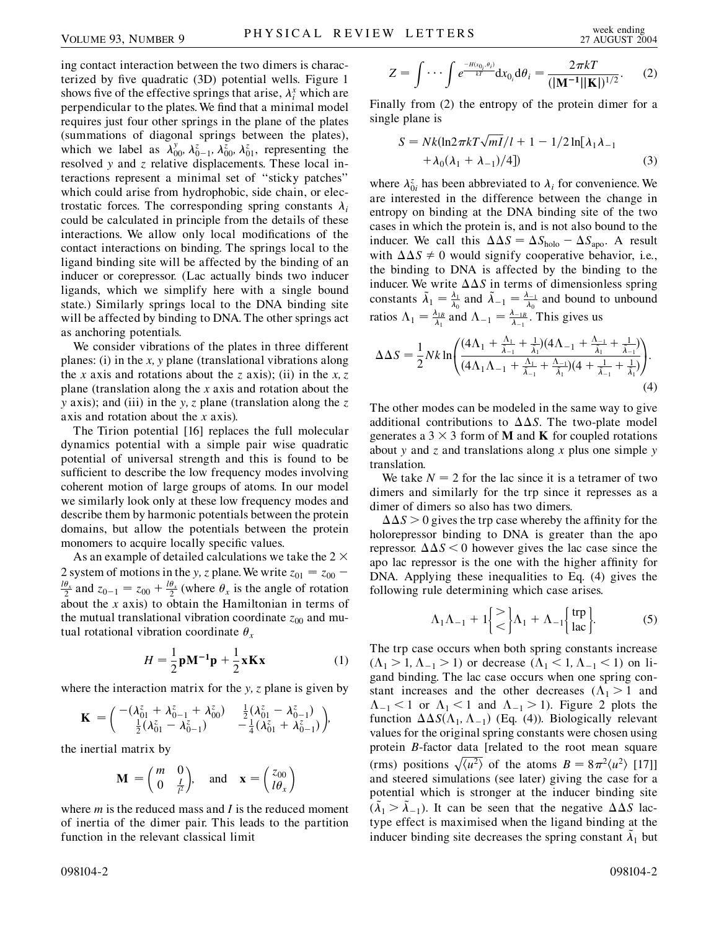ing contact interaction between the two dimers is characterized by five quadratic (3D) potential wells. Figure 1 shows five of the effective springs that arise,  $\lambda_i^x$  which are perpendicular to the plates. We find that a minimal model requires just four other springs in the plane of the plates (summations of diagonal springs between the plates), which we label as  $\lambda_{00}^y$ ,  $\lambda_{0-1}^z$ ,  $\lambda_{00}^z$ ,  $\lambda_{01}^z$ , representing the resolved *y* and *z* relative displacements. These local interactions represent a minimal set of ''sticky patches'' which could arise from hydrophobic, side chain, or electrostatic forces. The corresponding spring constants  $\lambda_i$ could be calculated in principle from the details of these interactions. We allow only local modifications of the contact interactions on binding. The springs local to the ligand binding site will be affected by the binding of an inducer or corepressor. (Lac actually binds two inducer ligands, which we simplify here with a single bound state.) Similarly springs local to the DNA binding site will be affected by binding to DNA. The other springs act as anchoring potentials.

We consider vibrations of the plates in three different planes: (i) in the *x; y* plane (translational vibrations along the *x* axis and rotations about the *z* axis); (ii) in the *x; z* plane (translation along the *x* axis and rotation about the *y* axis); and (iii) in the *y; z* plane (translation along the *z* axis and rotation about the *x* axis).

The Tirion potential [16] replaces the full molecular dynamics potential with a simple pair wise quadratic potential of universal strength and this is found to be sufficient to describe the low frequency modes involving coherent motion of large groups of atoms. In our model we similarly look only at these low frequency modes and describe them by harmonic potentials between the protein domains, but allow the potentials between the protein monomers to acquire locally specific values.

As an example of detailed calculations we take the 2  $\times$ 2 system of motions in the *y*, *z* plane. We write  $z_{01} = z_{00}$  –  $\frac{\theta_x}{2}$  and  $z_{0-1} = z_{00} + \frac{l\theta_x}{2}$  (where  $\theta_x$  is the angle of rotation about the *x* axis) to obtain the Hamiltonian in terms of the mutual translational vibration coordinate  $z_{00}$  and mutual rotational vibration coordinate  $\theta_x$ 

$$
H = \frac{1}{2}\mathbf{p}\mathbf{M}^{-1}\mathbf{p} + \frac{1}{2}\mathbf{x}\mathbf{K}\mathbf{x}
$$
 (1)

where the interaction matrix for the *y; z* plane is given by

$$
\mathbf{K} = \begin{pmatrix} -(\lambda_{01}^z + \lambda_{0-1}^z + \lambda_{00}^z) & \frac{1}{2}(\lambda_{01}^z - \lambda_{0-1}^z) \\ \frac{1}{2}(\lambda_{01}^z - \lambda_{0-1}^z) & -\frac{1}{4}(\lambda_{01}^z + \lambda_{0-1}^z) \end{pmatrix},
$$

the inertial matrix by

$$
\mathbf{M} = \begin{pmatrix} m & 0 \\ 0 & \frac{l}{l^2} \end{pmatrix}, \text{ and } \mathbf{x} = \begin{pmatrix} z_{00} \\ l\theta_x \end{pmatrix}
$$

where *m* is the reduced mass and *I* is the reduced moment of inertia of the dimer pair. This leads to the partition function in the relevant classical limit

$$
Z = \int \cdots \int e^{\frac{-H(x_0, \theta_i)}{kT}} dx_{0_i} d\theta_i = \frac{2\pi kT}{(|\mathbf{M}^{-1}||\mathbf{K}|)^{1/2}}.
$$
 (2)

Finally from (2) the entropy of the protein dimer for a single plane is

$$
S = Nk(\ln 2\pi kT\sqrt{mI}/l + 1 - 1/2\ln[\lambda_1\lambda_{-1} + \lambda_0(\lambda_1 + \lambda_{-1})/4])
$$
\n(3)

where  $\lambda_{0i}^z$  has been abbreviated to  $\lambda_i$  for convenience. We are interested in the difference between the change in entropy on binding at the DNA binding site of the two cases in which the protein is, and is not also bound to the inducer. We call this  $\Delta \Delta S = \Delta S_{\text{holo}} - \Delta S_{\text{apo}}$ . A result with  $\Delta \Delta S \neq 0$  would signify cooperative behavior, i.e., the binding to DNA is affected by the binding to the inducer. We write  $\Delta \Delta S$  in terms of dimensionless spring constants  $\tilde{\lambda}_1 = \frac{\lambda_1}{\lambda_0}$  and  $\tilde{\lambda}_{-1} = \frac{\lambda_{-1}}{\lambda_0}$  and bound to unbound ratios  $\Lambda_1 = \frac{\lambda_{1B}}{\lambda_1}$  and  $\Lambda_{-1} = \frac{\lambda_{-1B}}{\lambda_{-1}}$ . This gives us

$$
\Delta \Delta S = \frac{1}{2} N k \ln \left( \frac{(4\Lambda_1 + \frac{\Lambda_1}{\tilde{\lambda}_{-1}} + \frac{1}{\tilde{\lambda}_1})(4\Lambda_{-1} + \frac{\Lambda_{-1}}{\tilde{\lambda}_1} + \frac{1}{\tilde{\lambda}_{-1}})}{(4\Lambda_1 \Lambda_{-1} + \frac{\Lambda_1}{\tilde{\lambda}_{-1}} + \frac{\Lambda_{-1}}{\tilde{\lambda}_1})(4 + \frac{1}{\tilde{\lambda}_{-1}} + \frac{1}{\tilde{\lambda}_1})} \right). \tag{4}
$$

The other modes can be modeled in the same way to give additional contributions to  $\Delta\Delta S$ . The two-plate model generates a  $3 \times 3$  form of **M** and **K** for coupled rotations about *y* and *z* and translations along *x* plus one simple *y* translation.

We take  $N = 2$  for the lac since it is a tetramer of two dimers and similarly for the trp since it represses as a dimer of dimers so also has two dimers.

 $\Delta \Delta S > 0$  gives the trp case whereby the affinity for the holorepressor binding to DNA is greater than the apo repressor.  $\Delta \Delta S \le 0$  however gives the lac case since the apo lac repressor is the one with the higher affinity for DNA. Applying these inequalities to Eq. (4) gives the following rule determining which case arises.

$$
\Lambda_1 \Lambda_{-1} + 1 \begin{cases} > \\ < \end{cases} \Lambda_1 + \Lambda_{-1} \begin{cases} \text{trp} \\ \text{lac} \end{cases} . \tag{5}
$$

The trp case occurs when both spring constants increase  $(\Lambda_1 > 1, \Lambda_{-1} > 1)$  or decrease  $(\Lambda_1 < 1, \Lambda_{-1} < 1)$  on ligand binding. The lac case occurs when one spring constant increases and the other decreases  $(\Lambda_1 > 1$  and  $\Lambda_{-1}$  < 1 or  $\Lambda_1$  < 1 and  $\Lambda_{-1}$  > 1). Figure 2 plots the function  $\Delta\Delta S(\Lambda_1, \Lambda_{-1})$  (Eq. (4)). Biologically relevant values for the original spring constants were chosen using protein *B*-factor data [related to the root mean square (rms) positions  $\sqrt{\langle u^2 \rangle}$  of the atoms  $B = 8\pi^2 \langle u^2 \rangle$  [17]] and steered simulations (see later) giving the case for a potential which is stronger at the inducer binding site  $(\lambda_1 > \lambda_{-1})$ . It can be seen that the negative  $\Delta \Delta S$  lactype effect is maximised when the ligand binding at the inducer binding site decreases the spring constant  $\lambda_1$  but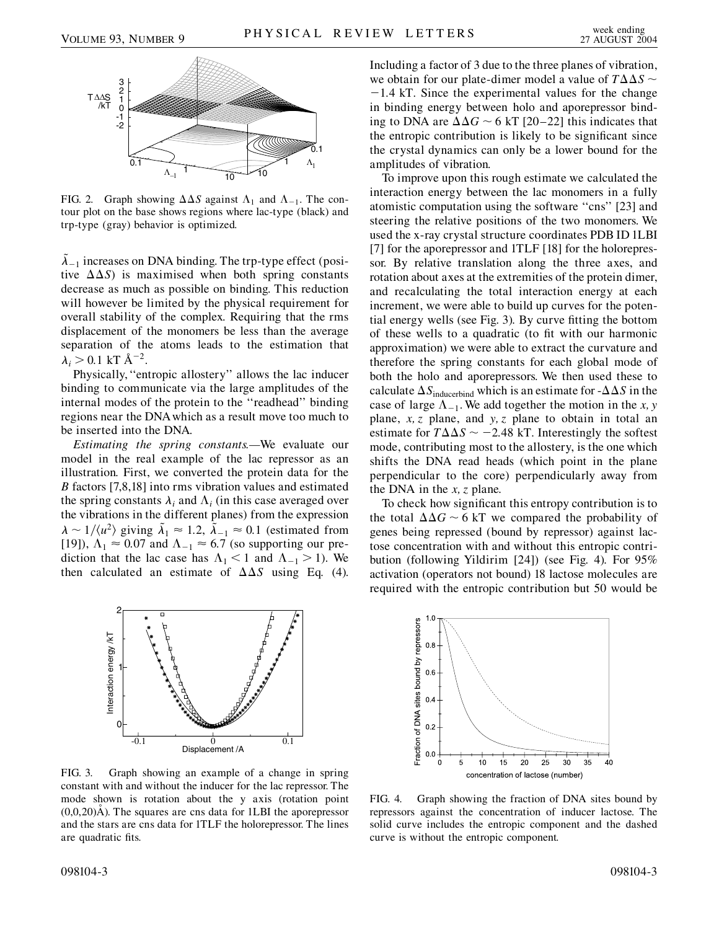

FIG. 2. Graph showing  $\Delta \Delta S$  against  $\Lambda_1$  and  $\Lambda_{-1}$ . The contour plot on the base shows regions where lac-type (black) and trp-type (gray) behavior is optimized.

 $\lambda_{-1}$  increases on DNA binding. The trp-type effect (positive  $\Delta\Delta S$ ) is maximised when both spring constants decrease as much as possible on binding. This reduction will however be limited by the physical requirement for overall stability of the complex. Requiring that the rms displacement of the monomers be less than the average separation of the atoms leads to the estimation that  $\lambda_i > 0.1 \text{ kT} \text{ Å}^{-2}$ .

Physically,''entropic allostery'' allows the lac inducer binding to communicate via the large amplitudes of the internal modes of the protein to the ''readhead'' binding regions near the DNAwhich as a result move too much to be inserted into the DNA.

*Estimating the spring constants.—*We evaluate our model in the real example of the lac repressor as an illustration. First, we converted the protein data for the *B* factors [7,8,18] into rms vibration values and estimated the spring constants  $\lambda_i$  and  $\Lambda_i$  (in this case averaged over the vibrations in the different planes) from the expression  $\lambda \sim 1/\langle u^2 \rangle$  giving  $\tilde{\lambda}_1 \approx 1.2$ ,  $\tilde{\lambda}_{-1} \approx 0.1$  (estimated from [19]),  $\Lambda_1 \approx 0.07$  and  $\Lambda_{-1} \approx 6.7$  (so supporting our prediction that the lac case has  $\Lambda_1 < 1$  and  $\Lambda_{-1} > 1$ ). We then calculated an estimate of  $\Delta \Delta S$  using Eq. (4).



FIG. 3. Graph showing an example of a change in spring constant with and without the inducer for the lac repressor. The mode shown is rotation about the y axis (rotation point  $(0,0,20)$ Å). The squares are cns data for 1LBI the aporepressor and the stars are cns data for 1TLF the holorepressor. The lines are quadratic fits.

Including a factor of 3 due to the three planes of vibration, we obtain for our plate-dimer model a value of  $T\Delta\Delta S \sim$ 1*:*4 kT. Since the experimental values for the change in binding energy between holo and aporepressor binding to DNA are  $\Delta\Delta G \sim 6$  kT [20–22] this indicates that the entropic contribution is likely to be significant since the crystal dynamics can only be a lower bound for the amplitudes of vibration.

To improve upon this rough estimate we calculated the interaction energy between the lac monomers in a fully atomistic computation using the software ''cns'' [23] and steering the relative positions of the two monomers. We used the x-ray crystal structure coordinates PDB ID 1LBI [7] for the aporepressor and 1TLF [18] for the holorepressor. By relative translation along the three axes, and rotation about axes at the extremities of the protein dimer, and recalculating the total interaction energy at each increment, we were able to build up curves for the potential energy wells (see Fig. 3). By curve fitting the bottom of these wells to a quadratic (to fit with our harmonic approximation) we were able to extract the curvature and therefore the spring constants for each global mode of both the holo and aporepressors. We then used these to calculate  $\Delta S_{\text{induced}}$  which is an estimate for - $\Delta \Delta S$  in the case of large  $\Lambda_{-1}$ . We add together the motion in the *x*, *y* plane, *x; z* plane, and *y; z* plane to obtain in total an estimate for  $T\Delta\Delta S \sim -2.48$  kT. Interestingly the softest mode, contributing most to the allostery, is the one which shifts the DNA read heads (which point in the plane perpendicular to the core) perpendicularly away from the DNA in the *x; z* plane.

To check how significant this entropy contribution is to the total  $\Delta\Delta G \sim 6$  kT we compared the probability of genes being repressed (bound by repressor) against lactose concentration with and without this entropic contribution (following Yildirim [24]) (see Fig. 4). For 95% activation (operators not bound) 18 lactose molecules are required with the entropic contribution but 50 would be



FIG. 4. Graph showing the fraction of DNA sites bound by repressors against the concentration of inducer lactose. The solid curve includes the entropic component and the dashed curve is without the entropic component.